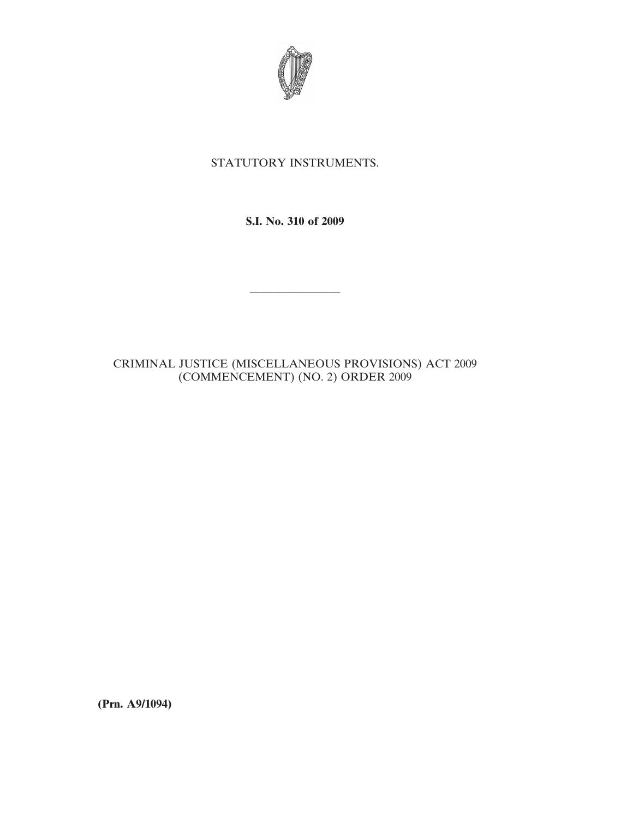

## STATUTORY INSTRUMENTS.

**S.I. No. 310 of 2009**

————————

CRIMINAL JUSTICE (MISCELLANEOUS PROVISIONS) ACT 2009 (COMMENCEMENT) (NO. 2) ORDER 2009

**(Prn. A9/1094)**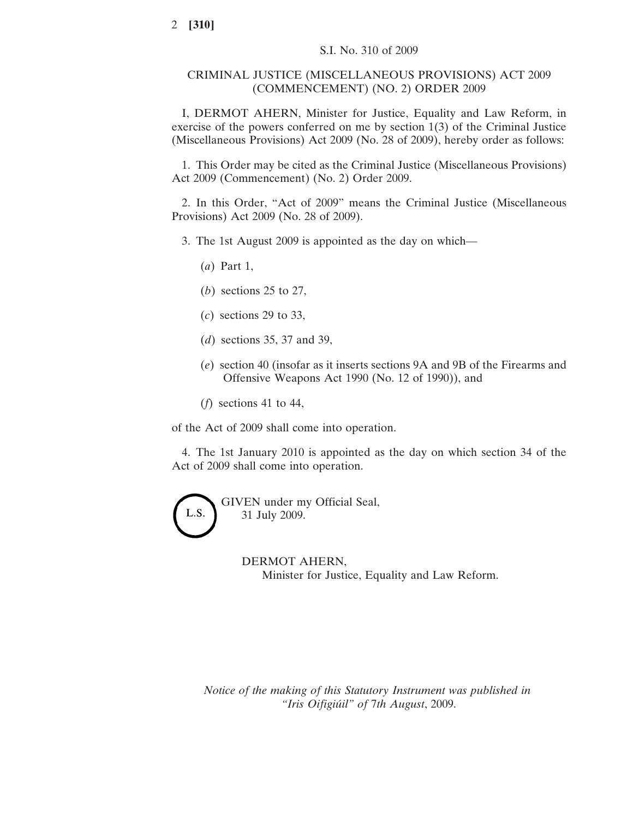## CRIMINAL JUSTICE (MISCELLANEOUS PROVISIONS) ACT 2009 (COMMENCEMENT) (NO. 2) ORDER 2009

I, DERMOT AHERN, Minister for Justice, Equality and Law Reform, in exercise of the powers conferred on me by section 1(3) of the Criminal Justice (Miscellaneous Provisions) Act 2009 (No. 28 of 2009), hereby order as follows:

1. This Order may be cited as the Criminal Justice (Miscellaneous Provisions) Act 2009 (Commencement) (No. 2) Order 2009.

2. In this Order, "Act of 2009" means the Criminal Justice (Miscellaneous Provisions) Act 2009 (No. 28 of 2009).

- 3. The 1st August 2009 is appointed as the day on which—
	- (*a*) Part 1,
	- (*b*) sections 25 to 27,
	- (*c*) sections 29 to 33,
	- (*d*) sections 35, 37 and 39,
	- (*e*) section 40 (insofar as it inserts sections 9A and 9B of the Firearms and Offensive Weapons Act 1990 (No. 12 of 1990)), and
	- (*f*) sections 41 to 44,

of the Act of 2009 shall come into operation.

4. The 1st January 2010 is appointed as the day on which section 34 of the Act of 2009 shall come into operation.



DERMOT AHERN, Minister for Justice, Equality and Law Reform.

*Notice of the making of this Statutory Instrument was published in "Iris Oifigiu´il" of* 7*th August*, 2009.